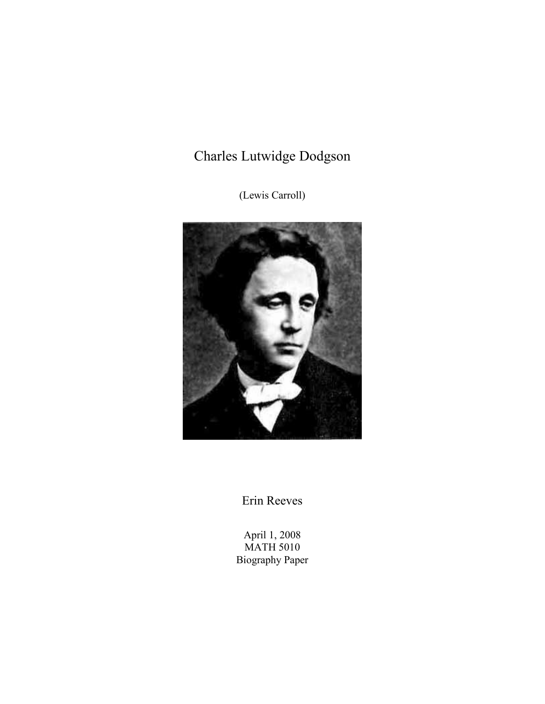# Charles Lutwidge Dodgson

(Lewis Carroll)



Erin Reeves

April 1, 2008 MATH 5010 Biography Paper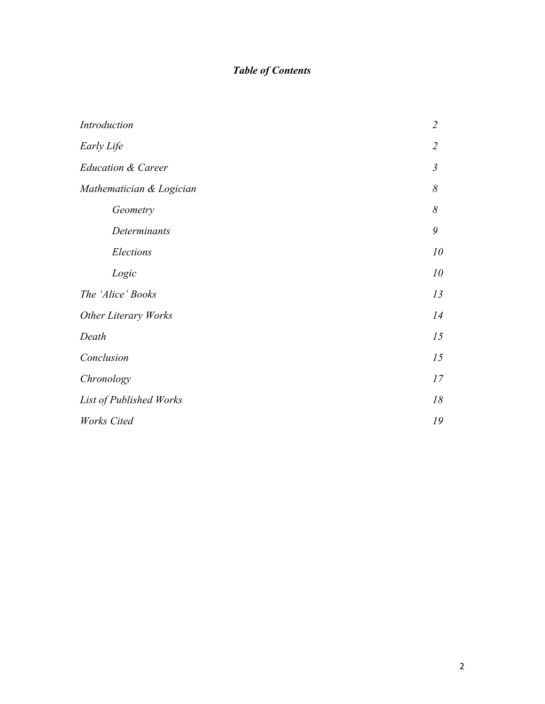# *Table of Contents*

| Introduction                  | $\overline{2}$ |
|-------------------------------|----------------|
| Early Life                    | $\overline{2}$ |
| <b>Education &amp; Career</b> | $\mathfrak{Z}$ |
| Mathematician & Logician      | 8              |
| Geometry                      | 8              |
| Determinants                  | 9              |
| Elections                     | 10             |
| Logic                         | 10             |
| The 'Alice' Books             | 13             |
| <b>Other Literary Works</b>   |                |
| Death                         | 15             |
| Conclusion                    | 15             |
| Chronology                    | 17             |
| List of Published Works       | $18\,$         |
| <b>Works</b> Cited            |                |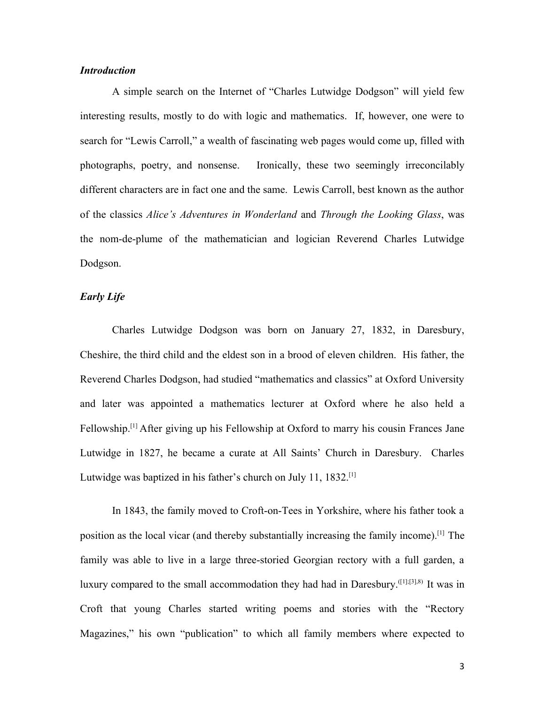#### *Introduction*

A simple search on the Internet of "Charles Lutwidge Dodgson" will yield few interesting results, mostly to do with logic and mathematics. If, however, one were to search for "Lewis Carroll," a wealth of fascinating web pages would come up, filled with photographs, poetry, and nonsense. Ironically, these two seemingly irreconcilably different characters are in fact one and the same. Lewis Carroll, best known as the author of the classics *Alice's Adventures in Wonderland* and *Through the Looking Glass*, was the nom-de-plume of the mathematician and logician Reverend Charles Lutwidge Dodgson.

#### *Early Life*

Charles Lutwidge Dodgson was born on January 27, 1832, in Daresbury, Cheshire, the third child and the eldest son in a brood of eleven children. His father, the Reverend Charles Dodgson, had studied "mathematics and classics" at Oxford University and later was appointed a mathematics lecturer at Oxford where he also held a Fellowship.[1] After giving up his Fellowship at Oxford to marry his cousin Frances Jane Lutwidge in 1827, he became a curate at All Saints' Church in Daresbury. Charles Lutwidge was baptized in his father's church on July 11, 1832.<sup>[1]</sup>

In 1843, the family moved to Croft-on-Tees in Yorkshire, where his father took a position as the local vicar (and thereby substantially increasing the family income).[1] The family was able to live in a large three-storied Georgian rectory with a full garden, a luxury compared to the small accommodation they had had in Daresbury.<sup>([1];[3],8)</sup> It was in Croft that young Charles started writing poems and stories with the "Rectory Magazines," his own "publication" to which all family members where expected to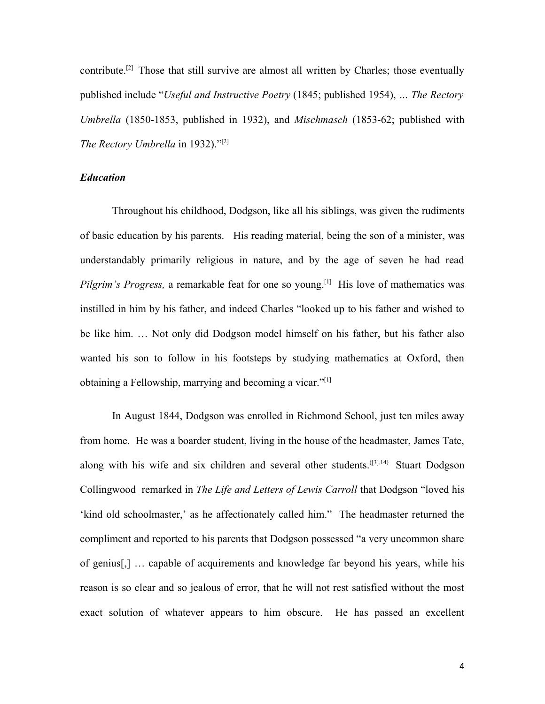contribute.<sup>[2]</sup> Those that still survive are almost all written by Charles; those eventually published include "*Useful and Instructive Poetry* (1845; published 1954), *… The Rectory Umbrella* (1850-1853, published in 1932), and *Mischmasch* (1853-62; published with *The Rectory Umbrella* in 1932)."[2]

#### *Education*

Throughout his childhood, Dodgson, like all his siblings, was given the rudiments of basic education by his parents. His reading material, being the son of a minister, was understandably primarily religious in nature, and by the age of seven he had read *Pilgrim's Progress,* a remarkable feat for one so young.<sup>[1]</sup> His love of mathematics was instilled in him by his father, and indeed Charles "looked up to his father and wished to be like him. … Not only did Dodgson model himself on his father, but his father also wanted his son to follow in his footsteps by studying mathematics at Oxford, then obtaining a Fellowship, marrying and becoming a vicar."[1]

In August 1844, Dodgson was enrolled in Richmond School, just ten miles away from home. He was a boarder student, living in the house of the headmaster, James Tate, along with his wife and six children and several other students.  $^{(3,1,14)}$  Stuart Dodgson Collingwood remarked in *The Life and Letters of Lewis Carroll* that Dodgson "loved his 'kind old schoolmaster,' as he affectionately called him." The headmaster returned the compliment and reported to his parents that Dodgson possessed "a very uncommon share of genius[,] … capable of acquirements and knowledge far beyond his years, while his reason is so clear and so jealous of error, that he will not rest satisfied without the most exact solution of whatever appears to him obscure. He has passed an excellent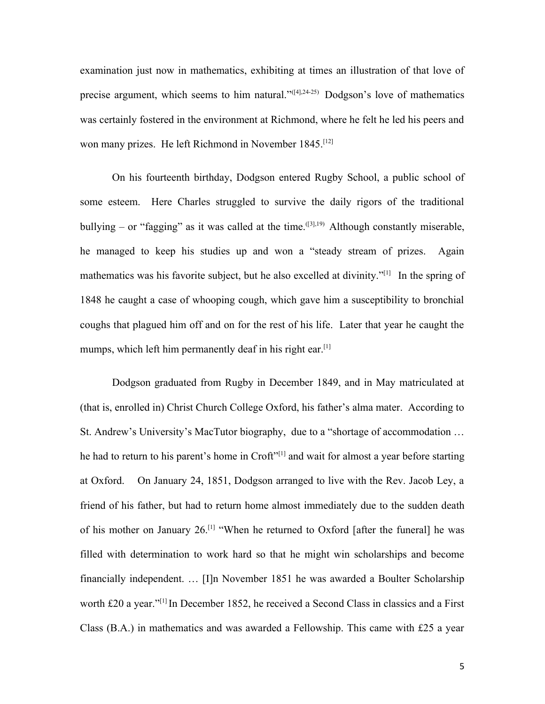examination just now in mathematics, exhibiting at times an illustration of that love of precise argument, which seems to him natural."([4],24-25) Dodgson's love of mathematics was certainly fostered in the environment at Richmond, where he felt he led his peers and won many prizes. He left Richmond in November 1845.<sup>[12]</sup>

On his fourteenth birthday, Dodgson entered Rugby School, a public school of some esteem. Here Charles struggled to survive the daily rigors of the traditional bullying – or "fagging" as it was called at the time.  $^{[3],19)}$  Although constantly miserable, he managed to keep his studies up and won a "steady stream of prizes. Again mathematics was his favorite subject, but he also excelled at divinity."[1] In the spring of 1848 he caught a case of whooping cough, which gave him a susceptibility to bronchial coughs that plagued him off and on for the rest of his life. Later that year he caught the mumps, which left him permanently deaf in his right ear.<sup>[1]</sup>

Dodgson graduated from Rugby in December 1849, and in May matriculated at (that is, enrolled in) Christ Church College Oxford, his father's alma mater. According to St. Andrew's University's MacTutor biography, due to a "shortage of accommodation … he had to return to his parent's home in Croft"<sup>[1]</sup> and wait for almost a year before starting at Oxford. On January 24, 1851, Dodgson arranged to live with the Rev. Jacob Ley, a friend of his father, but had to return home almost immediately due to the sudden death of his mother on January  $26$ .<sup>[1]</sup> "When he returned to Oxford [after the funeral] he was filled with determination to work hard so that he might win scholarships and become financially independent. … [I]n November 1851 he was awarded a Boulter Scholarship worth £20 a year."[1] In December 1852, he received a Second Class in classics and a First Class (B.A.) in mathematics and was awarded a Fellowship. This came with £25 a year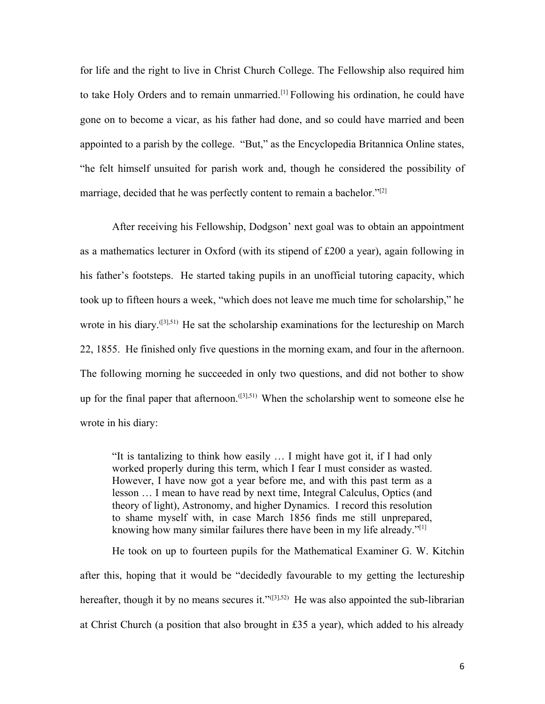for life and the right to live in Christ Church College. The Fellowship also required him to take Holy Orders and to remain unmarried.[1] Following his ordination, he could have gone on to become a vicar, as his father had done, and so could have married and been appointed to a parish by the college. "But," as the Encyclopedia Britannica Online states, "he felt himself unsuited for parish work and, though he considered the possibility of marriage, decided that he was perfectly content to remain a bachelor." $[2]$ 

After receiving his Fellowship, Dodgson' next goal was to obtain an appointment as a mathematics lecturer in Oxford (with its stipend of £200 a year), again following in his father's footsteps. He started taking pupils in an unofficial tutoring capacity, which took up to fifteen hours a week, "which does not leave me much time for scholarship," he wrote in his diary.<sup>([3],51)</sup> He sat the scholarship examinations for the lectureship on March 22, 1855. He finished only five questions in the morning exam, and four in the afternoon. The following morning he succeeded in only two questions, and did not bother to show up for the final paper that afternoon.<sup> $([3], 51)$ </sup> When the scholarship went to someone else he wrote in his diary:

"It is tantalizing to think how easily … I might have got it, if I had only worked properly during this term, which I fear I must consider as wasted. However, I have now got a year before me, and with this past term as a lesson … I mean to have read by next time, Integral Calculus, Optics (and theory of light), Astronomy, and higher Dynamics. I record this resolution to shame myself with, in case March 1856 finds me still unprepared, knowing how many similar failures there have been in my life already."<sup>[1]</sup>

He took on up to fourteen pupils for the Mathematical Examiner G. W. Kitchin after this, hoping that it would be "decidedly favourable to my getting the lectureship hereafter, though it by no means secures it." $(3,52)$  He was also appointed the sub-librarian at Christ Church (a position that also brought in £35 a year), which added to his already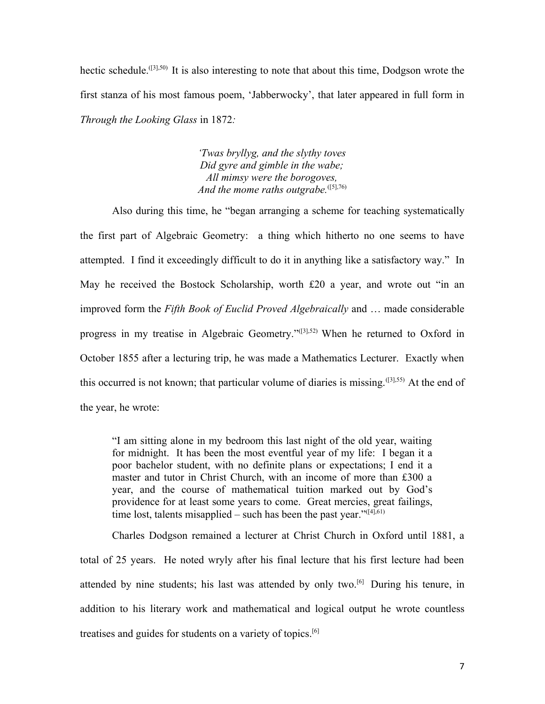hectic schedule.<sup>([3],50)</sup> It is also interesting to note that about this time, Dodgson wrote the first stanza of his most famous poem, 'Jabberwocky', that later appeared in full form in *Through the Looking Glass* in 1872*:*

> *'Twas bryllyg, and the slythy toves Did gyre and gimble in the wabe; All mimsy were the borogoves,* And the mome raths outgrabe.<sup>([5],76)</sup>

Also during this time, he "began arranging a scheme for teaching systematically the first part of Algebraic Geometry: a thing which hitherto no one seems to have attempted. I find it exceedingly difficult to do it in anything like a satisfactory way." In May he received the Bostock Scholarship, worth £20 a year, and wrote out "in an improved form the *Fifth Book of Euclid Proved Algebraically* and … made considerable progress in my treatise in Algebraic Geometry."([3],52) When he returned to Oxford in October 1855 after a lecturing trip, he was made a Mathematics Lecturer. Exactly when this occurred is not known; that particular volume of diaries is missing.([3],55) At the end of the year, he wrote:

"I am sitting alone in my bedroom this last night of the old year, waiting for midnight. It has been the most eventful year of my life: I began it a poor bachelor student, with no definite plans or expectations; I end it a master and tutor in Christ Church, with an income of more than £300 a year, and the course of mathematical tuition marked out by God's providence for at least some years to come. Great mercies, great failings, time lost, talents misapplied – such has been the past year." $(14,61)$ 

Charles Dodgson remained a lecturer at Christ Church in Oxford until 1881, a total of 25 years. He noted wryly after his final lecture that his first lecture had been attended by nine students; his last was attended by only two.<sup>[6]</sup> During his tenure, in addition to his literary work and mathematical and logical output he wrote countless treatises and guides for students on a variety of topics. [6]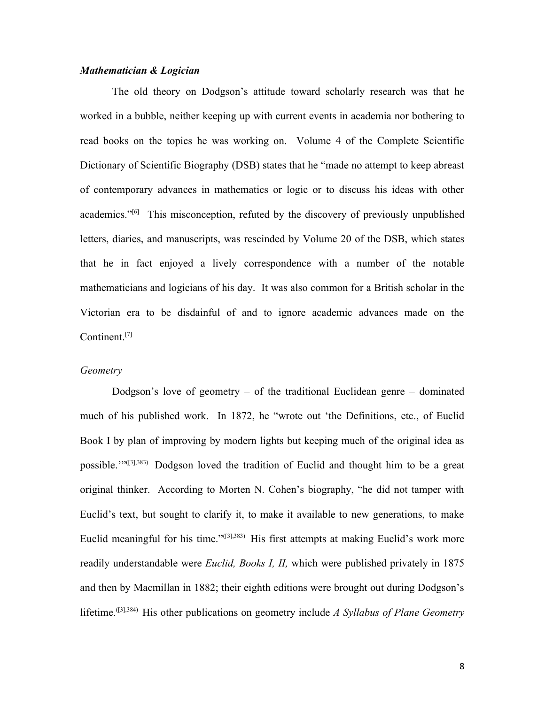#### *Mathematician & Logician*

The old theory on Dodgson's attitude toward scholarly research was that he worked in a bubble, neither keeping up with current events in academia nor bothering to read books on the topics he was working on. Volume 4 of the Complete Scientific Dictionary of Scientific Biography (DSB) states that he "made no attempt to keep abreast of contemporary advances in mathematics or logic or to discuss his ideas with other academics."<sup>[6]</sup> This misconception, refuted by the discovery of previously unpublished letters, diaries, and manuscripts, was rescinded by Volume 20 of the DSB, which states that he in fact enjoyed a lively correspondence with a number of the notable mathematicians and logicians of his day. It was also common for a British scholar in the Victorian era to be disdainful of and to ignore academic advances made on the Continent. [7]

#### *Geometry*

Dodgson's love of geometry – of the traditional Euclidean genre – dominated much of his published work. In 1872, he "wrote out 'the Definitions, etc., of Euclid Book I by plan of improving by modern lights but keeping much of the original idea as possible.'"([3],383) Dodgson loved the tradition of Euclid and thought him to be a great original thinker. According to Morten N. Cohen's biography, "he did not tamper with Euclid's text, but sought to clarify it, to make it available to new generations, to make Euclid meaningful for his time."([3],383) His first attempts at making Euclid's work more readily understandable were *Euclid, Books I, II,* which were published privately in 1875 and then by Macmillan in 1882; their eighth editions were brought out during Dodgson's lifetime. ([3],384) His other publications on geometry include *A Syllabus of Plane Geometry*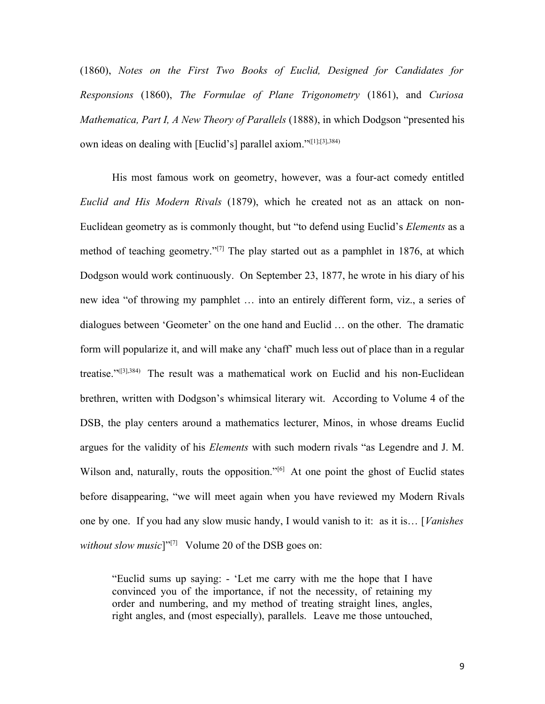(1860), *Notes on the First Two Books of Euclid, Designed for Candidates for Responsions* (1860), *The Formulae of Plane Trigonometry* (1861), and *Curiosa Mathematica, Part I, A New Theory of Parallels* (1888), in which Dodgson "presented his own ideas on dealing with [Euclid's] parallel axiom."([1];[3],384)

His most famous work on geometry, however, was a four-act comedy entitled *Euclid and His Modern Rivals* (1879), which he created not as an attack on non-Euclidean geometry as is commonly thought, but "to defend using Euclid's *Elements* as a method of teaching geometry."<sup>[7]</sup> The play started out as a pamphlet in 1876, at which Dodgson would work continuously. On September 23, 1877, he wrote in his diary of his new idea "of throwing my pamphlet … into an entirely different form, viz., a series of dialogues between 'Geometer' on the one hand and Euclid … on the other. The dramatic form will popularize it, and will make any 'chaff' much less out of place than in a regular treatise."([3],384) The result was a mathematical work on Euclid and his non-Euclidean brethren, written with Dodgson's whimsical literary wit. According to Volume 4 of the DSB, the play centers around a mathematics lecturer, Minos, in whose dreams Euclid argues for the validity of his *Elements* with such modern rivals "as Legendre and J. M. Wilson and, naturally, routs the opposition."<sup>[6]</sup> At one point the ghost of Euclid states before disappearing, "we will meet again when you have reviewed my Modern Rivals one by one. If you had any slow music handy, I would vanish to it: as it is… [*Vanishes without slow music*]"<sup>[7]</sup> Volume 20 of the DSB goes on:

"Euclid sums up saying: - 'Let me carry with me the hope that I have convinced you of the importance, if not the necessity, of retaining my order and numbering, and my method of treating straight lines, angles, right angles, and (most especially), parallels. Leave me those untouched,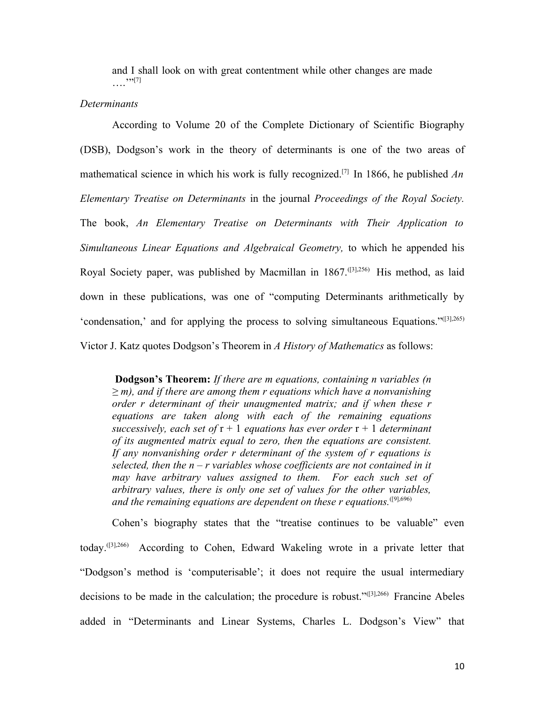and I shall look on with great contentment while other changes are made  $, \, \cdot \, , [7]$ 

#### *Determinants*

According to Volume 20 of the Complete Dictionary of Scientific Biography (DSB), Dodgson's work in the theory of determinants is one of the two areas of mathematical science in which his work is fully recognized.[7] In 1866, he published *An Elementary Treatise on Determinants* in the journal *Proceedings of the Royal Society.* The book, *An Elementary Treatise on Determinants with Their Application to Simultaneous Linear Equations and Algebraical Geometry,* to which he appended his Royal Society paper, was published by Macmillan in 1867.<sup>([3],256)</sup> His method, as laid down in these publications, was one of "computing Determinants arithmetically by 'condensation,' and for applying the process to solving simultaneous Equations."([3],265) Victor J. Katz quotes Dodgson's Theorem in *A History of Mathematics* as follows:

**Dodgson's Theorem:** *If there are m equations, containing n variables (n ≥ m), and if there are among them r equations which have a nonvanishing order r determinant of their unaugmented matrix; and if when these r equations are taken along with each of the remaining equations successively, each set of* r + 1 *equations has ever order* r + 1 *determinant of its augmented matrix equal to zero, then the equations are consistent. If any nonvanishing order r determinant of the system of r equations is selected, then the n – r variables whose coefficients are not contained in it may have arbitrary values assigned to them. For each such set of arbitrary values, there is only one set of values for the other variables,* and the remaining equations are dependent on these r equations.<sup>([9],696)</sup>

Cohen's biography states that the "treatise continues to be valuable" even today.([3],266) According to Cohen, Edward Wakeling wrote in a private letter that "Dodgson's method is 'computerisable'; it does not require the usual intermediary decisions to be made in the calculation; the procedure is robust."([3],266) Francine Abeles added in "Determinants and Linear Systems, Charles L. Dodgson's View" that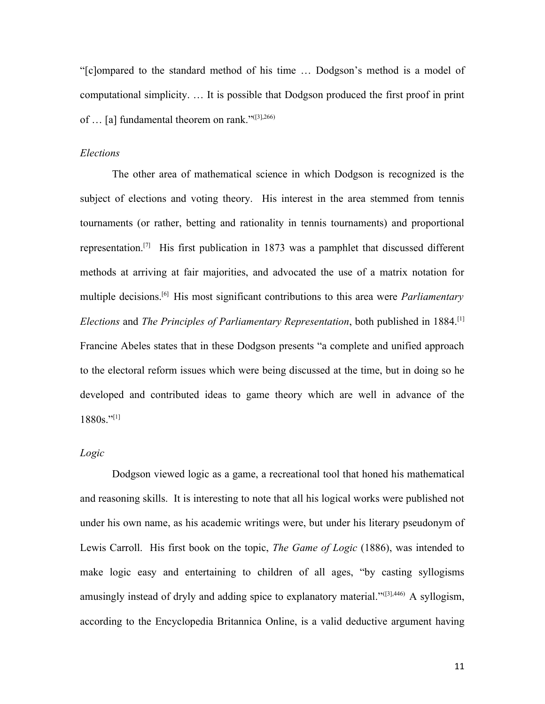"[c]ompared to the standard method of his time … Dodgson's method is a model of computational simplicity. … It is possible that Dodgson produced the first proof in print of … [a] fundamental theorem on rank."([3],266)

#### *Elections*

The other area of mathematical science in which Dodgson is recognized is the subject of elections and voting theory. His interest in the area stemmed from tennis tournaments (or rather, betting and rationality in tennis tournaments) and proportional representation.[7] His first publication in 1873 was a pamphlet that discussed different methods at arriving at fair majorities, and advocated the use of a matrix notation for multiple decisions. [6] His most significant contributions to this area were *Parliamentary Elections* and *The Principles of Parliamentary Representation*, both published in 1884.[1] Francine Abeles states that in these Dodgson presents "a complete and unified approach to the electoral reform issues which were being discussed at the time, but in doing so he developed and contributed ideas to game theory which are well in advance of the  $1880s.$ "[1]

#### *Logic*

Dodgson viewed logic as a game, a recreational tool that honed his mathematical and reasoning skills. It is interesting to note that all his logical works were published not under his own name, as his academic writings were, but under his literary pseudonym of Lewis Carroll. His first book on the topic, *The Game of Logic* (1886), was intended to make logic easy and entertaining to children of all ages, "by casting syllogisms amusingly instead of dryly and adding spice to explanatory material."<sup>([3],446)</sup> A syllogism, according to the Encyclopedia Britannica Online, is a valid deductive argument having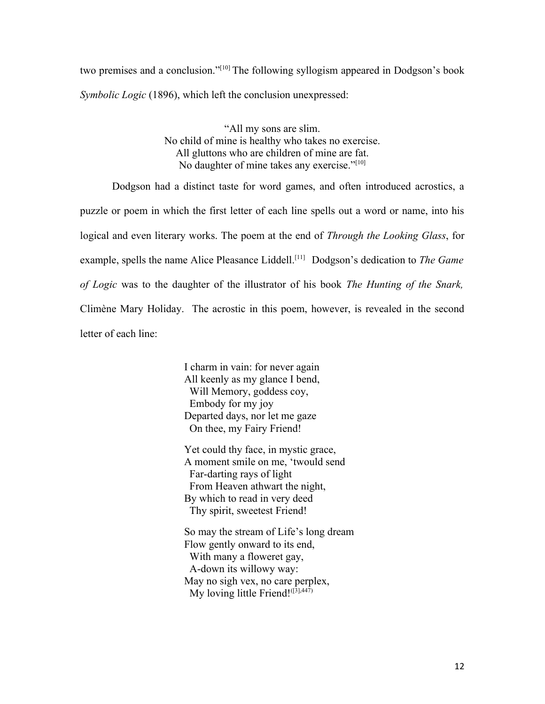two premises and a conclusion."<sup>[10]</sup> The following syllogism appeared in Dodgson's book *Symbolic Logic* (1896), which left the conclusion unexpressed:

> "All my sons are slim. No child of mine is healthy who takes no exercise. All gluttons who are children of mine are fat. No daughter of mine takes any exercise."[10]

Dodgson had a distinct taste for word games, and often introduced acrostics, a puzzle or poem in which the first letter of each line spells out a word or name, into his logical and even literary works. The poem at the end of *Through the Looking Glass*, for example, spells the name Alice Pleasance Liddell.<sup>[11]</sup> Dodgson's dedication to *The Game of Logic* was to the daughter of the illustrator of his book *The Hunting of the Snark,* Climène Mary Holiday. The acrostic in this poem, however, is revealed in the second letter of each line:

> I charm in vain: for never again All keenly as my glance I bend, Will Memory, goddess coy, Embody for my joy Departed days, nor let me gaze On thee, my Fairy Friend!

Yet could thy face, in mystic grace, A moment smile on me, 'twould send Far-darting rays of light From Heaven athwart the night, By which to read in very deed Thy spirit, sweetest Friend!

So may the stream of Life's long dream Flow gently onward to its end, With many a floweret gay, A-down its willowy way: May no sigh vex, no care perplex, My loving little Friend! $(I<sup>3</sup>],447$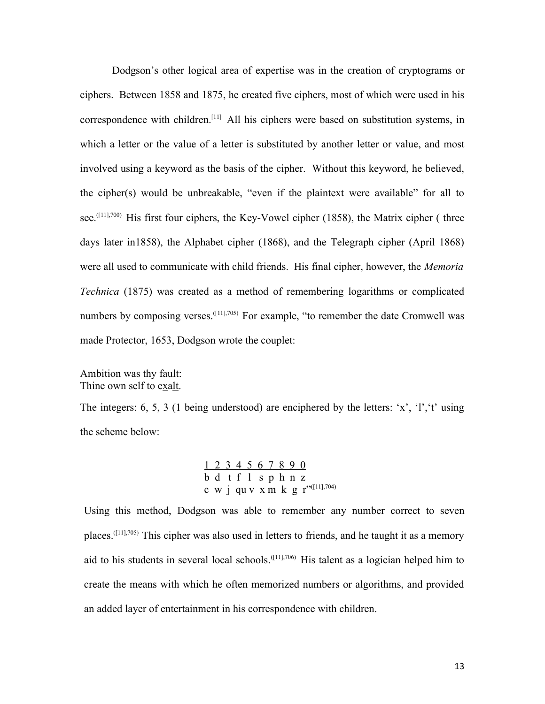Dodgson's other logical area of expertise was in the creation of cryptograms or ciphers. Between 1858 and 1875, he created five ciphers, most of which were used in his correspondence with children.<sup>[11]</sup> All his ciphers were based on substitution systems, in which a letter or the value of a letter is substituted by another letter or value, and most involved using a keyword as the basis of the cipher. Without this keyword, he believed, the cipher(s) would be unbreakable, "even if the plaintext were available" for all to see.<sup> $([11], 700)$ </sup> His first four ciphers, the Key-Vowel cipher (1858), the Matrix cipher (three days later in1858), the Alphabet cipher (1868), and the Telegraph cipher (April 1868) were all used to communicate with child friends. His final cipher, however, the *Memoria Technica* (1875) was created as a method of remembering logarithms or complicated numbers by composing verses.  $^{([11],705)}$  For example, "to remember the date Cromwell was made Protector, 1653, Dodgson wrote the couplet:

Ambition was thy fault: Thine own self to exalt.

The integers: 6, 5, 3 (1 being understood) are enciphered by the letters: 'x', 'l','t' using the scheme below:

> 1 2 3 4 5 6 7 8 9 0  $\overline{b}$  d t f  $\overline{1}$  s p h n z c w j qu v x m k g  $r"$ <sup>([11],704)</sup>

Using this method, Dodgson was able to remember any number correct to seven places.<sup>([11],705)</sup> This cipher was also used in letters to friends, and he taught it as a memory aid to his students in several local schools.<sup>([11],706)</sup> His talent as a logician helped him to create the means with which he often memorized numbers or algorithms, and provided an added layer of entertainment in his correspondence with children.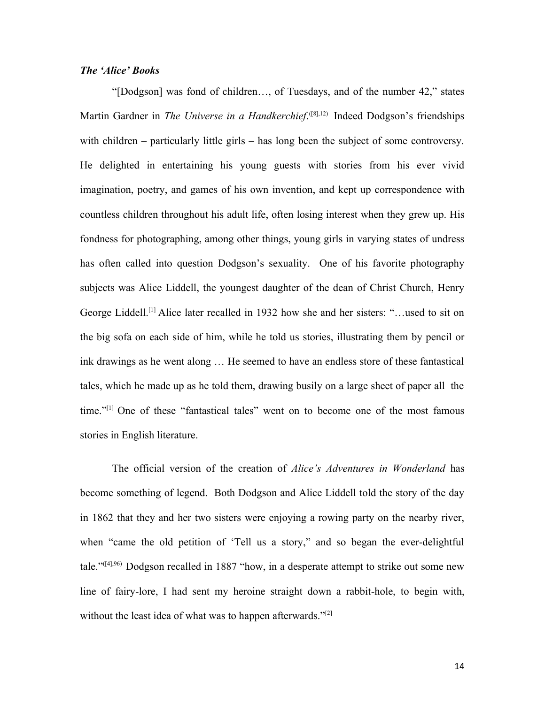#### *The 'Alice' Books*

"[Dodgson] was fond of children…, of Tuesdays, and of the number 42," states Martin Gardner in *The Universe in a Handkerchief*. ([8],12) Indeed Dodgson's friendships with children – particularly little girls – has long been the subject of some controversy. He delighted in entertaining his young guests with stories from his ever vivid imagination, poetry, and games of his own invention, and kept up correspondence with countless children throughout his adult life, often losing interest when they grew up. His fondness for photographing, among other things, young girls in varying states of undress has often called into question Dodgson's sexuality. One of his favorite photography subjects was Alice Liddell, the youngest daughter of the dean of Christ Church, Henry George Liddell.<sup>[1]</sup> Alice later recalled in 1932 how she and her sisters: "...used to sit on the big sofa on each side of him, while he told us stories, illustrating them by pencil or ink drawings as he went along … He seemed to have an endless store of these fantastical tales, which he made up as he told them, drawing busily on a large sheet of paper all the time."[1] One of these "fantastical tales" went on to become one of the most famous stories in English literature.

The official version of the creation of *Alice's Adventures in Wonderland* has become something of legend. Both Dodgson and Alice Liddell told the story of the day in 1862 that they and her two sisters were enjoying a rowing party on the nearby river, when "came the old petition of 'Tell us a story," and so began the ever-delightful tale."([4],96) Dodgson recalled in 1887 "how, in a desperate attempt to strike out some new line of fairy-lore, I had sent my heroine straight down a rabbit-hole, to begin with, without the least idea of what was to happen afterwards." $[2]$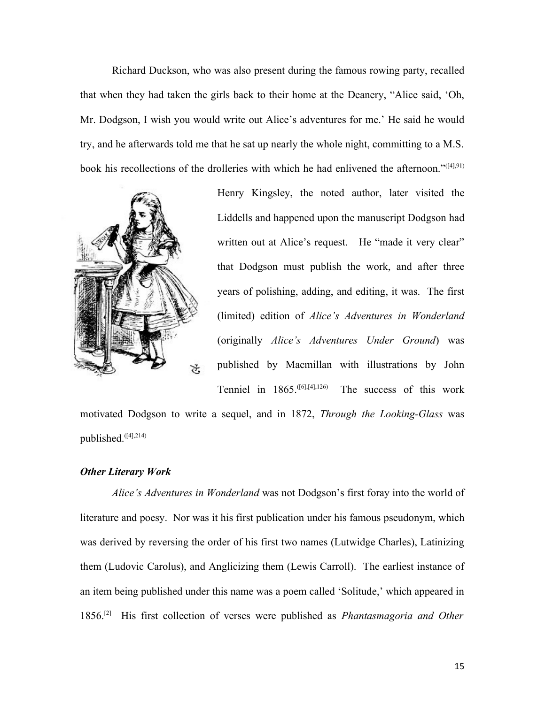Richard Duckson, who was also present during the famous rowing party, recalled that when they had taken the girls back to their home at the Deanery, "Alice said, 'Oh, Mr. Dodgson, I wish you would write out Alice's adventures for me.' He said he would try, and he afterwards told me that he sat up nearly the whole night, committing to a M.S. book his recollections of the drolleries with which he had enlivened the afternoon."([4],91)



Henry Kingsley, the noted author, later visited the Liddells and happened upon the manuscript Dodgson had written out at Alice's request. He "made it very clear" that Dodgson must publish the work, and after three years of polishing, adding, and editing, it was. The first (limited) edition of *Alice's Adventures in Wonderland* (originally *Alice's Adventures Under Ground*) was published by Macmillan with illustrations by John Tenniel in 1865.([6];[4],126) The success of this work

motivated Dodgson to write a sequel, and in 1872, *Through the Looking-Glass* was published.<sup>([4],214)</sup>

#### *Other Literary Work*

*Alice's Adventures in Wonderland* was not Dodgson's first foray into the world of literature and poesy. Nor was it his first publication under his famous pseudonym, which was derived by reversing the order of his first two names (Lutwidge Charles), Latinizing them (Ludovic Carolus), and Anglicizing them (Lewis Carroll). The earliest instance of an item being published under this name was a poem called 'Solitude,' which appeared in 1856.[2] His first collection of verses were published as *Phantasmagoria and Other*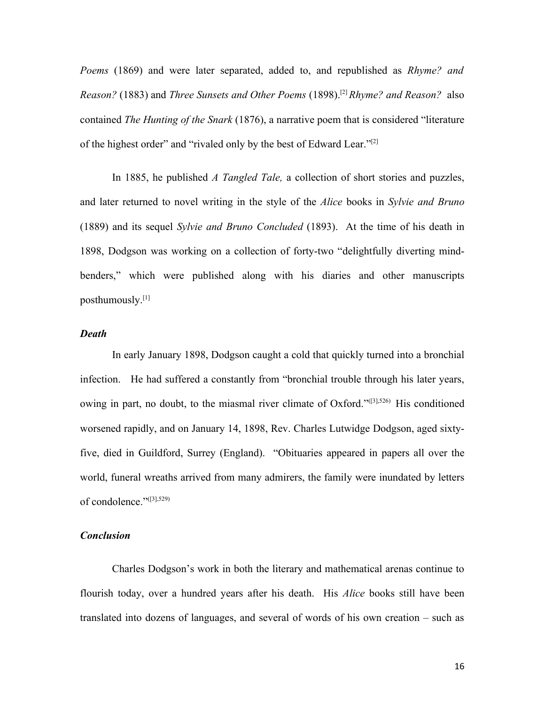*Poems* (1869) and were later separated, added to, and republished as *Rhyme? and Reason?* (1883) and *Three Sunsets and Other Poems* (1898).[2]*Rhyme? and Reason?* also contained *The Hunting of the Snark* (1876), a narrative poem that is considered "literature of the highest order" and "rivaled only by the best of Edward Lear."<sup>[2]</sup>

In 1885, he published *A Tangled Tale,* a collection of short stories and puzzles, and later returned to novel writing in the style of the *Alice* books in *Sylvie and Bruno* (1889) and its sequel *Sylvie and Bruno Concluded* (1893). At the time of his death in 1898, Dodgson was working on a collection of forty-two "delightfully diverting mindbenders," which were published along with his diaries and other manuscripts posthumously.[1]

#### *Death*

In early January 1898, Dodgson caught a cold that quickly turned into a bronchial infection. He had suffered a constantly from "bronchial trouble through his later years, owing in part, no doubt, to the miasmal river climate of Oxford."([3],526) His conditioned worsened rapidly, and on January 14, 1898, Rev. Charles Lutwidge Dodgson, aged sixtyfive, died in Guildford, Surrey (England). "Obituaries appeared in papers all over the world, funeral wreaths arrived from many admirers, the family were inundated by letters of condolence."([3],529)

#### *Conclusion*

Charles Dodgson's work in both the literary and mathematical arenas continue to flourish today, over a hundred years after his death. His *Alice* books still have been translated into dozens of languages, and several of words of his own creation – such as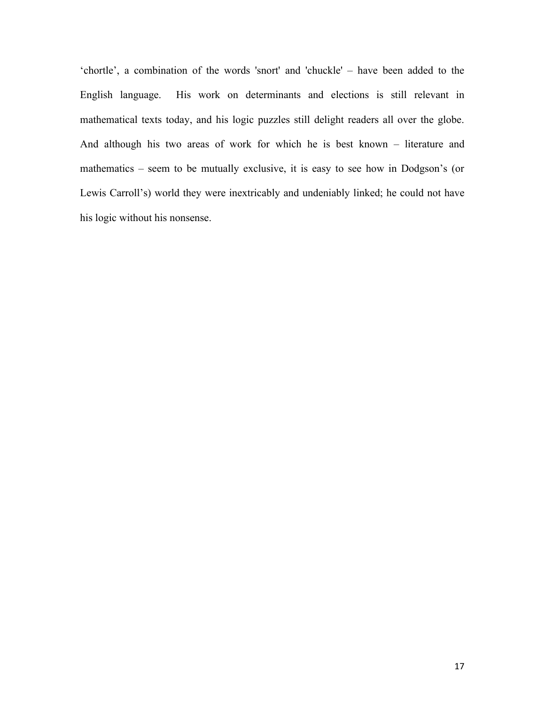'chortle', a combination of the words 'snort' and 'chuckle' – have been added to the English language. His work on determinants and elections is still relevant in mathematical texts today, and his logic puzzles still delight readers all over the globe. And although his two areas of work for which he is best known – literature and mathematics – seem to be mutually exclusive, it is easy to see how in Dodgson's (or Lewis Carroll's) world they were inextricably and undeniably linked; he could not have his logic without his nonsense.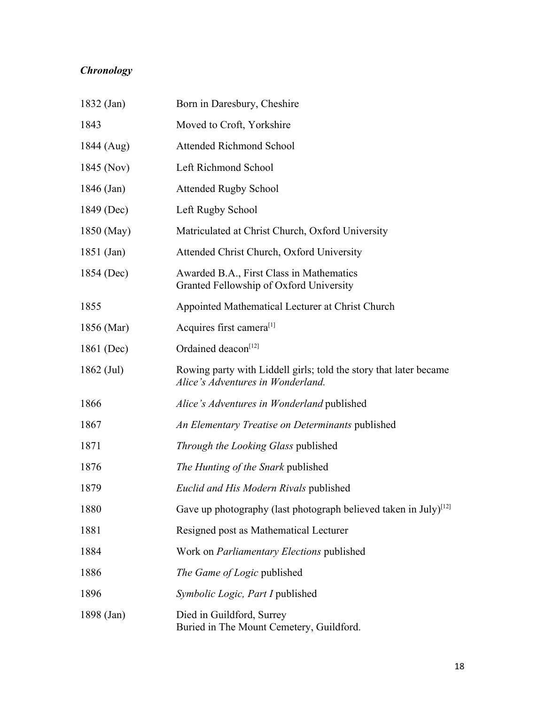## *Chronology*

| 1832 (Jan)   | Born in Daresbury, Cheshire                                                                            |
|--------------|--------------------------------------------------------------------------------------------------------|
| 1843         | Moved to Croft, Yorkshire                                                                              |
| 1844 (Aug)   | <b>Attended Richmond School</b>                                                                        |
| 1845 (Nov)   | Left Richmond School                                                                                   |
| 1846 (Jan)   | <b>Attended Rugby School</b>                                                                           |
| 1849 (Dec)   | Left Rugby School                                                                                      |
| 1850 (May)   | Matriculated at Christ Church, Oxford University                                                       |
| $1851$ (Jan) | Attended Christ Church, Oxford University                                                              |
| 1854 (Dec)   | Awarded B.A., First Class in Mathematics<br>Granted Fellowship of Oxford University                    |
| 1855         | Appointed Mathematical Lecturer at Christ Church                                                       |
| 1856 (Mar)   | Acquires first camera <sup>[1]</sup>                                                                   |
| 1861 (Dec)   | Ordained deacon <sup>[12]</sup>                                                                        |
| $1862$ (Jul) | Rowing party with Liddell girls; told the story that later became<br>Alice's Adventures in Wonderland. |
| 1866         | Alice's Adventures in Wonderland published                                                             |
| 1867         | An Elementary Treatise on Determinants published                                                       |
| 1871         | Through the Looking Glass published                                                                    |
| 1876         | The Hunting of the Snark published                                                                     |
| 1879         | Euclid and His Modern Rivals published                                                                 |
| 1880         | Gave up photography (last photograph believed taken in July) $[12]$                                    |
| 1881         | Resigned post as Mathematical Lecturer                                                                 |
| 1884         | Work on <i>Parliamentary Elections</i> published                                                       |
| 1886         | The Game of Logic published                                                                            |
| 1896         | Symbolic Logic, Part I published                                                                       |
| 1898 (Jan)   | Died in Guildford, Surrey<br>Buried in The Mount Cemetery, Guildford.                                  |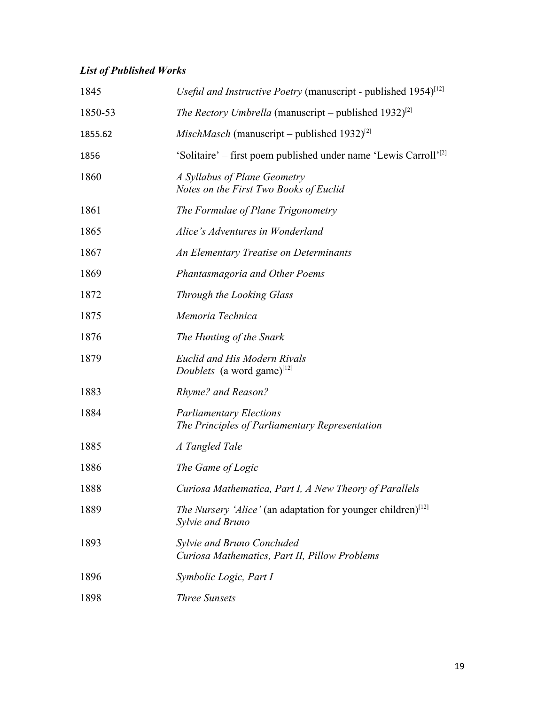## *List of Published Works*

| 1845    | Useful and Instructive Poetry (manuscript - published 1954) <sup>[12]</sup>                         |
|---------|-----------------------------------------------------------------------------------------------------|
| 1850-53 | <i>The Rectory Umbrella</i> (manuscript – published 1932) <sup>[2]</sup>                            |
| 1855.62 | <i>MischMasch</i> (manuscript – published 1932) <sup>[2]</sup>                                      |
| 1856    | 'Solitaire' – first poem published under name 'Lewis Carroll' <sup>[2]</sup>                        |
| 1860    | A Syllabus of Plane Geometry<br>Notes on the First Two Books of Euclid                              |
| 1861    | The Formulae of Plane Trigonometry                                                                  |
| 1865    | Alice's Adventures in Wonderland                                                                    |
| 1867    | An Elementary Treatise on Determinants                                                              |
| 1869    | Phantasmagoria and Other Poems                                                                      |
| 1872    | Through the Looking Glass                                                                           |
| 1875    | Memoria Technica                                                                                    |
| 1876    | The Hunting of the Snark                                                                            |
| 1879    | <b>Euclid and His Modern Rivals</b><br><i>Doublets</i> (a word game) <sup>[12]</sup>                |
| 1883    | Rhyme? and Reason?                                                                                  |
| 1884    | <b>Parliamentary Elections</b><br>The Principles of Parliamentary Representation                    |
| 1885    | A Tangled Tale                                                                                      |
| 1886    | The Game of Logic                                                                                   |
| 1888    | Curiosa Mathematica, Part I, A New Theory of Parallels                                              |
| 1889    | <i>The Nursery 'Alice'</i> (an adaptation for younger children) <sup>[12]</sup><br>Sylvie and Bruno |
| 1893    | Sylvie and Bruno Concluded<br>Curiosa Mathematics, Part II, Pillow Problems                         |
| 1896    | Symbolic Logic, Part I                                                                              |
| 1898    | <b>Three Sunsets</b>                                                                                |